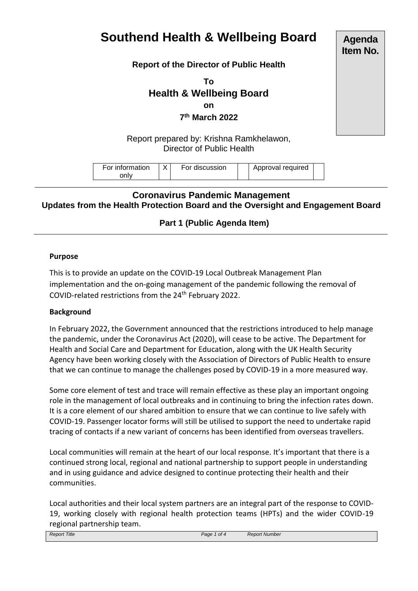# **Southend Health & Wellbeing Board**

**Report of the Director of Public Health**

**To Health & Wellbeing Board on 7 th March 2022**

Report prepared by: Krishna Ramkhelawon, Director of Public Health

### **Coronavirus Pandemic Management Updates from the Health Protection Board and the Oversight and Engagement Board**

## **Part 1 (Public Agenda Item)**

#### **Purpose**

This is to provide an update on the COVID-19 Local Outbreak Management Plan implementation and the on-going management of the pandemic following the removal of COVID-related restrictions from the 24<sup>th</sup> February 2022.

#### **Background**

In February 2022, the Government announced that the restrictions introduced to help manage the pandemic, under the Coronavirus Act (2020), will cease to be active. The Department for Health and Social Care and Department for Education, along with the UK Health Security Agency have been working closely with the Association of Directors of Public Health to ensure that we can continue to manage the challenges posed by COVID-19 in a more measured way.

Some core element of test and trace will remain effective as these play an important ongoing role in the management of local outbreaks and in continuing to bring the infection rates down. It is a core element of our shared ambition to ensure that we can continue to live safely with COVID-19. Passenger locator forms will still be utilised to support the need to undertake rapid tracing of contacts if a new variant of concerns has been identified from overseas travellers.

Local communities will remain at the heart of our local response. It's important that there is a continued strong local, regional and national partnership to support people in understanding and in using guidance and advice designed to continue protecting their health and their communities.

Local authorities and their local system partners are an integral part of the response to COVID-19, working closely with regional health protection teams (HPTs) and the wider COVID-19 regional partnership team.

| <b>Report Title</b> | Page 1 of 4 | <b>Report Number</b> |  |
|---------------------|-------------|----------------------|--|
|                     |             |                      |  |

**Agenda Item No.**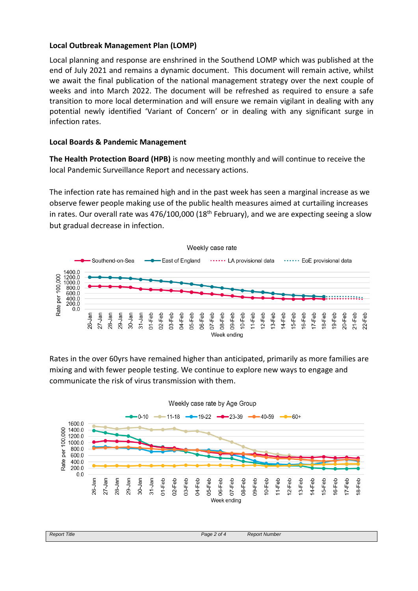#### **Local Outbreak Management Plan (LOMP)**

Local planning and response are enshrined in the Southend LOMP which was published at the end of July 2021 and remains a dynamic document. This document will remain active, whilst we await the final publication of the national management strategy over the next couple of weeks and into March 2022. The document will be refreshed as required to ensure a safe transition to more local determination and will ensure we remain vigilant in dealing with any potential newly identified 'Variant of Concern' or in dealing with any significant surge in infection rates.

#### **Local Boards & Pandemic Management**

**The Health Protection Board (HPB)** is now meeting monthly and will continue to receive the local Pandemic Surveillance Report and necessary actions.

The infection rate has remained high and in the past week has seen a marginal increase as we observe fewer people making use of the public health measures aimed at curtailing increases in rates. Our overall rate was 476/100,000 (18<sup>th</sup> February), and we are expecting seeing a slow but gradual decrease in infection.



Rates in the over 60yrs have remained higher than anticipated, primarily as more families are mixing and with fewer people testing. We continue to explore new ways to engage and communicate the risk of virus transmission with them.



| <b>Report Title</b> | Page 2 of 4 | oort Number<br>71 X JI I |
|---------------------|-------------|--------------------------|
|                     |             |                          |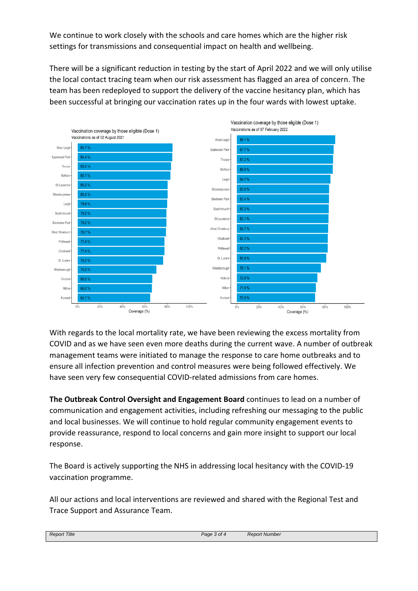We continue to work closely with the schools and care homes which are the higher risk settings for transmissions and consequential impact on health and wellbeing.

There will be a significant reduction in testing by the start of April 2022 and we will only utilise the local contact tracing team when our risk assessment has flagged an area of concern. The team has been redeployed to support the delivery of the vaccine hesitancy plan, which has been successful at bringing our vaccination rates up in the four wards with lowest uptake.



With regards to the local mortality rate, we have been reviewing the excess mortality from COVID and as we have seen even more deaths during the current wave. A number of outbreak management teams were initiated to manage the response to care home outbreaks and to ensure all infection prevention and control measures were being followed effectively. We have seen very few consequential COVID-related admissions from care homes.

**The Outbreak Control Oversight and Engagement Board** continues to lead on a number of communication and engagement activities, including refreshing our messaging to the public and local businesses. We will continue to hold regular community engagement events to provide reassurance, respond to local concerns and gain more insight to support our local response.

The Board is actively supporting the NHS in addressing local hesitancy with the COVID-19 vaccination programme.

All our actions and local interventions are reviewed and shared with the Regional Test and Trace Support and Assurance Team.

| rt Title | aae 3 of 4 | <b>Report Number</b>                   |
|----------|------------|----------------------------------------|
| Report   | --         | . <b>.</b> . <b>.</b> . <b>. . .</b> . |